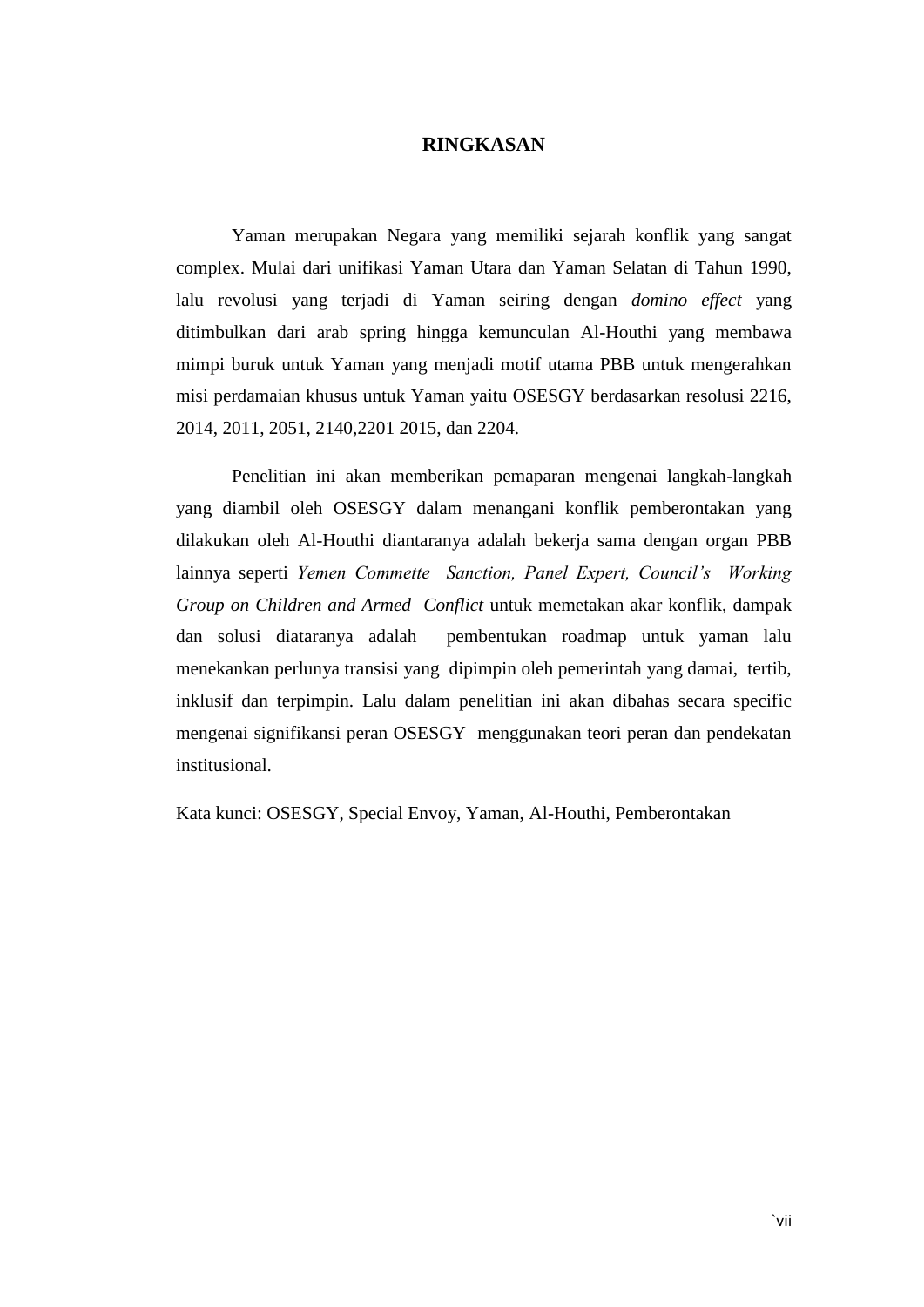## **RINGKASAN**

Yaman merupakan Negara yang memiliki sejarah konflik yang sangat complex. Mulai dari unifikasi Yaman Utara dan Yaman Selatan di Tahun 1990, lalu revolusi yang terjadi di Yaman seiring dengan *domino effect* yang ditimbulkan dari arab spring hingga kemunculan Al-Houthi yang membawa mimpi buruk untuk Yaman yang menjadi motif utama PBB untuk mengerahkan misi perdamaian khusus untuk Yaman yaitu OSESGY berdasarkan resolusi 2216, 2014, 2011, 2051, 2140,2201 2015, dan 2204.

Penelitian ini akan memberikan pemaparan mengenai langkah-langkah yang diambil oleh OSESGY dalam menangani konflik pemberontakan yang dilakukan oleh Al-Houthi diantaranya adalah bekerja sama dengan organ PBB lainnya seperti *Yemen Commette Sanction, Panel Expert, Council's Working Group on Children and Armed Conflict* untuk memetakan akar konflik, dampak dan solusi diataranya adalah pembentukan roadmap untuk yaman lalu menekankan perlunya transisi yang dipimpin oleh pemerintah yang damai, tertib, inklusif dan terpimpin. Lalu dalam penelitian ini akan dibahas secara specific mengenai signifikansi peran OSESGY menggunakan teori peran dan pendekatan institusional.

Kata kunci: OSESGY, Special Envoy, Yaman, Al-Houthi, Pemberontakan